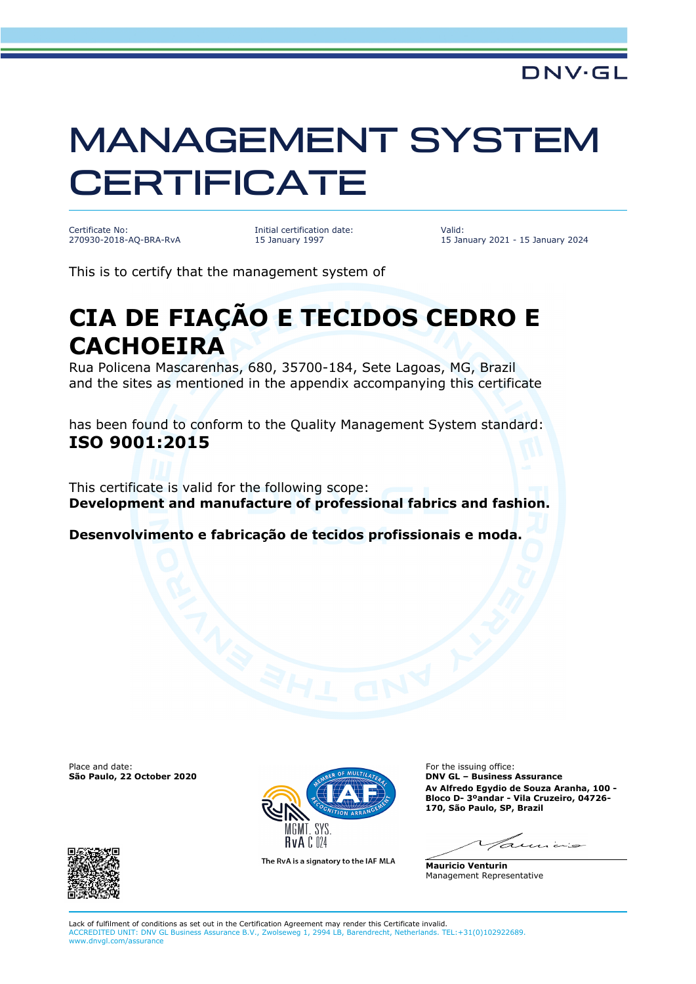## MANAGEMENT SYSTEM **CERTIFICATE**

Certificate No: 270930-2018-AQ-BRA-RvA Initial certification date: 15 January 1997

Valid: 15 January 2021 - 15 January 2024

This is to certify that the management system of

## **CIA DE FIAÇÃO E TECIDOS CEDRO E CACHOEIRA**

Rua Policena Mascarenhas, 680, 35700-184, Sete Lagoas, MG, Brazil and the sites as mentioned in the appendix accompanying this certificate

has been found to conform to the Quality Management System standard: **ISO 9001:2015**

This certificate is valid for the following scope: **Development and manufacture of professional fabrics and fashion.** 

**Desenvolvimento e fabricação de tecidos profissionais e moda.**





The RvA is a signatory to the IAF MLA

**Av Alfredo Egydio de Souza Aranha, 100 - Bloco D- 3ºandar - Vila Cruzeiro, 04726- 170, São Paulo, SP, Brazil**

للمناسط بالمدم

**Mauricio Venturin** Management Representative

Lack of fulfilment of conditions as set out in the Certification Agreement may render this Certificate invalid. ACCREDITED UNIT: DNV GL Business Assurance B.V., Zwolseweg 1, 2994 LB, Barendrecht, Netherlands. TEL:+31(0)102922689. www.dnvgl.com/assurance